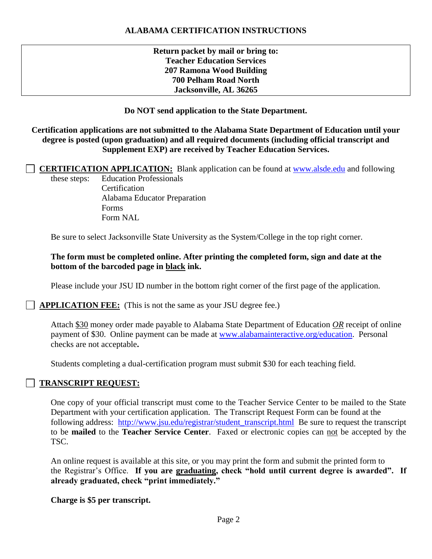# **ALABAMA CERTIFICATION INSTRUCTIONS**

**Return packet by mail or bring to: Teacher Education Services 207 Ramona Wood Building 700 Pelham Road North Jacksonville, AL 36265**

## **Do NOT send application to the State Department.**

### **Certification applications are not submitted to the Alabama State Department of Education until your degree is posted (upon graduation) and all required documents (including official transcript and Supplement EXP) are received by Teacher Education Services.**

 **CERTIFICATION APPLICATION:** Blank application can be found at [www.alsde.edu](http://www.alsde.edu/) and following these steps: Education Professionals

**Certification** Alabama Educator Preparation Forms Form NAL

Be sure to select Jacksonville State University as the System/College in the top right corner.

## **The form must be completed online. After printing the completed form, sign and date at the bottom of the barcoded page in black ink.**

Please include your JSU ID number in the bottom right corner of the first page of the application.

**APPLICATION FEE:** (This is not the same as your JSU degree fee.)

Attach \$30 money order made payable to Alabama State Department of Education *OR* receipt of online payment of \$30. Online payment can be made at [www.alabamainteractive.org/education.](http://www.alabamainteractive.org/education) Personal checks are not acceptable**.**

Students completing a dual-certification program must submit \$30 for each teaching field.

# **TRANSCRIPT REQUEST:**

One copy of your official transcript must come to the Teacher Service Center to be mailed to the State Department with your certification application. The Transcript Request Form can be found at the following address: [http://www.jsu.edu/registrar/student\\_transcript.html](http://www.jsu.edu/registrar/student_transcript.html) Be sure to request the transcript to be **mailed** to the **Teacher Service Center**. Faxed or electronic copies can not be accepted by the TSC.

An online request is available at this site, or you may print the form and submit the printed form to the Registrar's Office. **If you are graduating, check "hold until current degree is awarded". If already graduated, check "print immediately."**

**Charge is \$5 per transcript.**